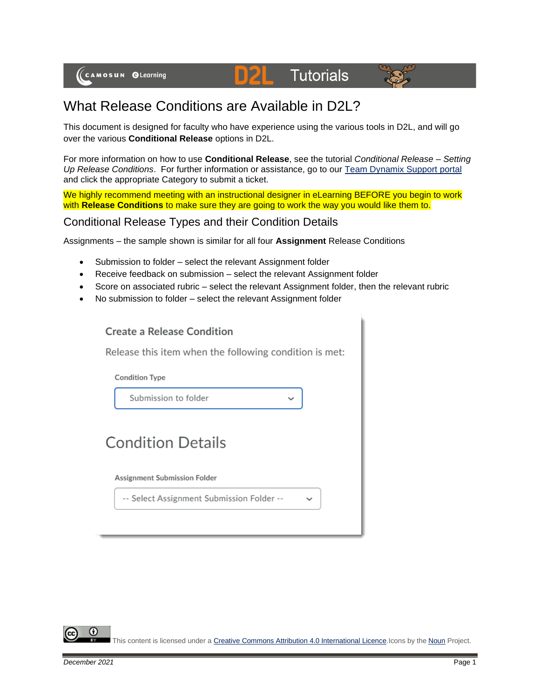



## What Release Conditions are Available in D2L?

This document is designed for faculty who have experience using the various tools in D2L, and will go over the various **Conditional Release** options in D2L.

For more information on how to use **Conditional Release**, see the tutorial *Conditional Release – Setting Up Release Conditions*. For further information or assistance, go to our [Team Dynamix Support portal](https://camosun.teamdynamix.com/TDClient/67/Portal/Requests/ServiceCatalog?CategoryID=523) and click the appropriate Category to submit a ticket.

We highly recommend meeting with an instructional designer in eLearning BEFORE you begin to work with **Release Conditions** to make sure they are going to work the way you would like them to.

## Conditional Release Types and their Condition Details

Assignments – the sample shown is similar for all four **Assignment** Release Conditions

- Submission to folder select the relevant Assignment folder
- Receive feedback on submission select the relevant Assignment folder
- Score on associated rubric select the relevant Assignment folder, then the relevant rubric
- No submission to folder select the relevant Assignment folder

| <b>Create a Release Condition</b>                      |  |  |  |
|--------------------------------------------------------|--|--|--|
| Release this item when the following condition is met: |  |  |  |
| <b>Condition Type</b>                                  |  |  |  |
| Submission to folder                                   |  |  |  |
| <b>Condition Details</b>                               |  |  |  |
| Assignment Submission Folder                           |  |  |  |
| -- Select Assignment Submission Folder --              |  |  |  |
|                                                        |  |  |  |

This content is licensed under [a Creative Commons Attribution 4.0 International Licence.I](https://creativecommons.org/licenses/by/4.0/)cons by the [Noun](https://creativecommons.org/website-icons/) Project.

Œ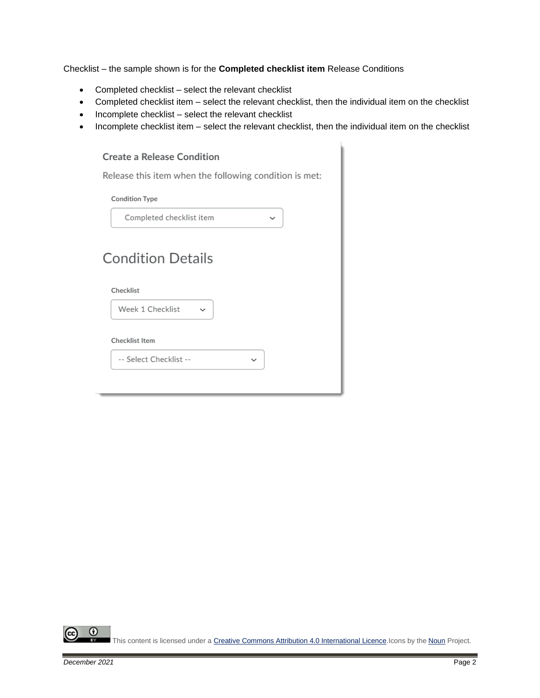Checklist – the sample shown is for the **Completed checklist item** Release Conditions

- Completed checklist select the relevant checklist
- Completed checklist item select the relevant checklist, then the individual item on the checklist
- Incomplete checklist select the relevant checklist
- Incomplete checklist item select the relevant checklist, then the individual item on the checklist

#### **Create a Release Condition**

Release this item when the following condition is met:

**Condition Type** 

| Completed checklist item<br>$\checkmark$      |
|-----------------------------------------------|
| <b>Condition Details</b>                      |
| Checklist<br>Week 1 Checklist<br>$\checkmark$ |
| Checklist Item                                |
| -- Select Checklist --<br>$\check{ }$         |
|                                               |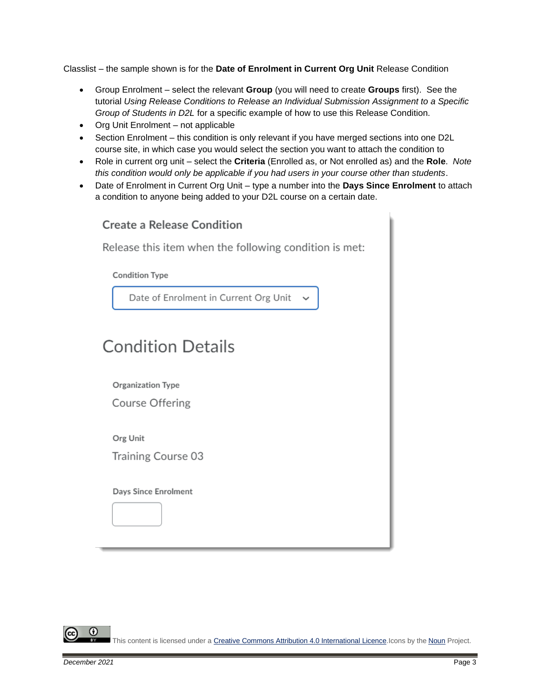Classlist – the sample shown is for the **Date of Enrolment in Current Org Unit** Release Condition

- Group Enrolment select the relevant **Group** (you will need to create **Groups** first). See the tutorial *Using Release Conditions to Release an Individual Submission Assignment to a Specific Group of Students in D2L* for a specific example of how to use this Release Condition.
- Org Unit Enrolment not applicable
- Section Enrolment this condition is only relevant if you have merged sections into one D2L course site, in which case you would select the section you want to attach the condition to
- Role in current org unit select the **Criteria** (Enrolled as, or Not enrolled as) and the **Role**. *Note this condition would only be applicable if you had users in your course other than students*.
- Date of Enrolment in Current Org Unit type a number into the **Days Since Enrolment** to attach a condition to anyone being added to your D2L course on a certain date.

| <b>Create a Release Condition</b>                      |  |  |
|--------------------------------------------------------|--|--|
| Release this item when the following condition is met: |  |  |
| <b>Condition Type</b>                                  |  |  |
| Date of Enrolment in Current Org Unit<br>$\checkmark$  |  |  |
|                                                        |  |  |
| <b>Condition Details</b>                               |  |  |
| Organization Type                                      |  |  |
| Course Offering                                        |  |  |
| Org Unit<br>Training Course 03                         |  |  |
| Days Since Enrolment                                   |  |  |

Œ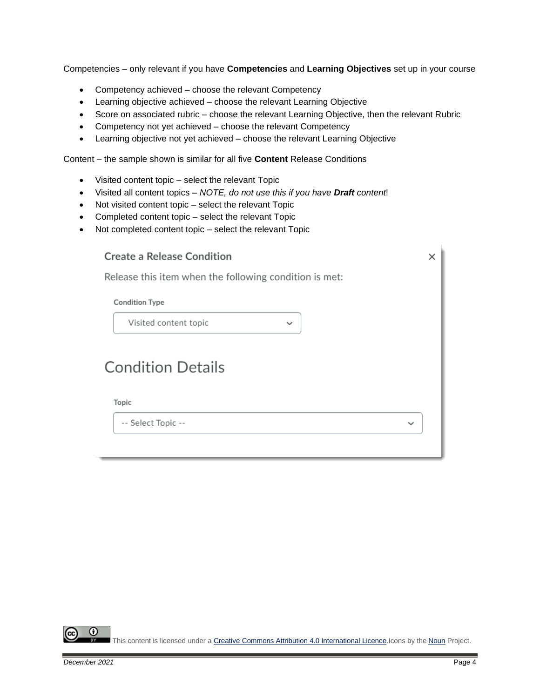Competencies – only relevant if you have **Competencies** and **Learning Objectives** set up in your course

- Competency achieved choose the relevant Competency
- Learning objective achieved choose the relevant Learning Objective
- Score on associated rubric choose the relevant Learning Objective, then the relevant Rubric
- Competency not yet achieved choose the relevant Competency
- Learning objective not yet achieved choose the relevant Learning Objective

Content – the sample shown is similar for all five **Content** Release Conditions

- Visited content topic select the relevant Topic
- Visited all content topics *NOTE, do not use this if you have Draft content*!
- Not visited content topic select the relevant Topic
- Completed content topic select the relevant Topic
- Not completed content topic select the relevant Topic

## Create a Release Condition

Release this item when the following condition is met:

**Condition Type** 

Visited content topic

# **Condition Details**

#### Topic

-- Select Topic --

Œ This content is licensed under [a Creative Commons Attribution 4.0 International Licence.I](https://creativecommons.org/licenses/by/4.0/)cons by the [Noun](https://creativecommons.org/website-icons/) Project.

 $\times$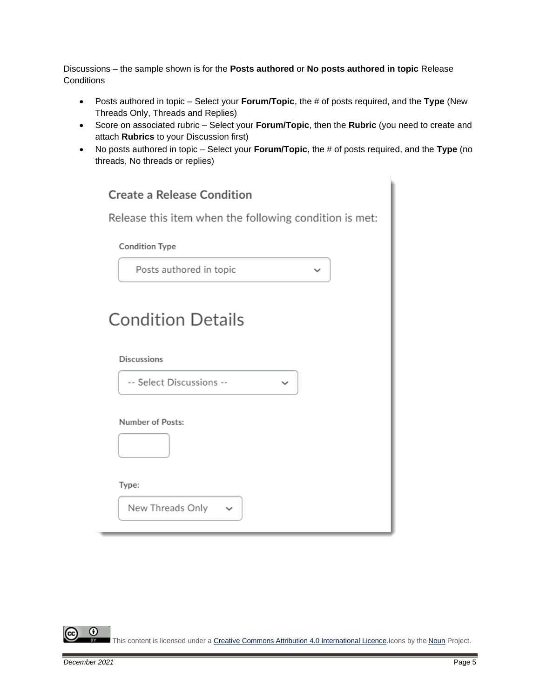Discussions – the sample shown is for the **Posts authored** or **No posts authored in topic** Release **Conditions** 

- Posts authored in topic Select your **Forum/Topic**, the # of posts required, and the **Type** (New Threads Only, Threads and Replies)
- Score on associated rubric Select your **Forum/Topic**, then the **Rubric** (you need to create and attach **Rubrics** to your Discussion first)
- No posts authored in topic Select your **Forum/Topic**, the # of posts required, and the **Type** (no threads, No threads or replies)

| <b>Create a Release Condition</b>                             |  |  |
|---------------------------------------------------------------|--|--|
| Release this item when the following condition is met:        |  |  |
| <b>Condition Type</b>                                         |  |  |
| Posts authored in topic<br>$\checkmark$                       |  |  |
| <b>Condition Details</b>                                      |  |  |
| <b>Discussions</b>                                            |  |  |
| -- Select Discussions --<br>$\checkmark$                      |  |  |
| Number of Posts:<br>Type:<br>New Threads Only<br>$\checkmark$ |  |  |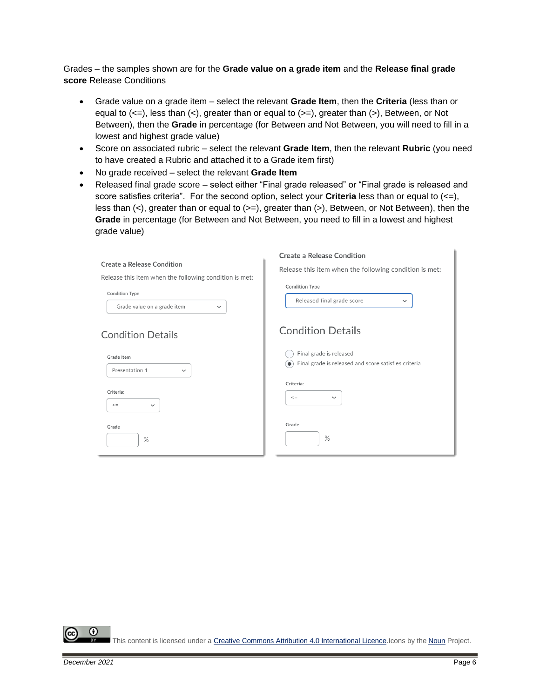Grades – the samples shown are for the **Grade value on a grade item** and the **Release final grade score** Release Conditions

- Grade value on a grade item select the relevant **Grade Item**, then the **Criteria** (less than or equal to  $(\leq)=$ , less than  $(\leq)$ , greater than or equal to  $(\geq)=$ ), greater than  $(\geq)$ , Between, or Not Between), then the **Grade** in percentage (for Between and Not Between, you will need to fill in a lowest and highest grade value)
- Score on associated rubric select the relevant **Grade Item**, then the relevant **Rubric** (you need to have created a Rubric and attached it to a Grade item first)
- No grade received select the relevant **Grade Item**
- Released final grade score select either "Final grade released" or "Final grade is released and score satisfies criteria". For the second option, select your **Criteria** less than or equal to (<=), less than  $(\le)$ , greater than or equal to  $(\ge)$ , greater than  $(\ge)$ , Between, or Not Between), then the **Grade** in percentage (for Between and Not Between, you need to fill in a lowest and highest grade value)

|                                                                      | <b>Create a Release Condition</b>                                                           |
|----------------------------------------------------------------------|---------------------------------------------------------------------------------------------|
| Create a Release Condition                                           | Release this item when the following condition is met:                                      |
| Release this item when the following condition is met:               |                                                                                             |
| <b>Condition Type</b><br>Grade value on a grade item<br>$\checkmark$ | <b>Condition Type</b><br>Released final grade score<br>$\check{~}$                          |
| <b>Condition Details</b>                                             | <b>Condition Details</b>                                                                    |
| Grade Item<br>Presentation 1<br>$\checkmark$                         | Final grade is released<br>$\bullet$ ) Final grade is released and score satisfies criteria |
| Criteria:<br>$\lt$ =<br>$\checkmark$                                 | Criteria:<br>$\lt$ =<br>$\checkmark$                                                        |
| Grade<br>%                                                           | Grade<br>$\%$                                                                               |